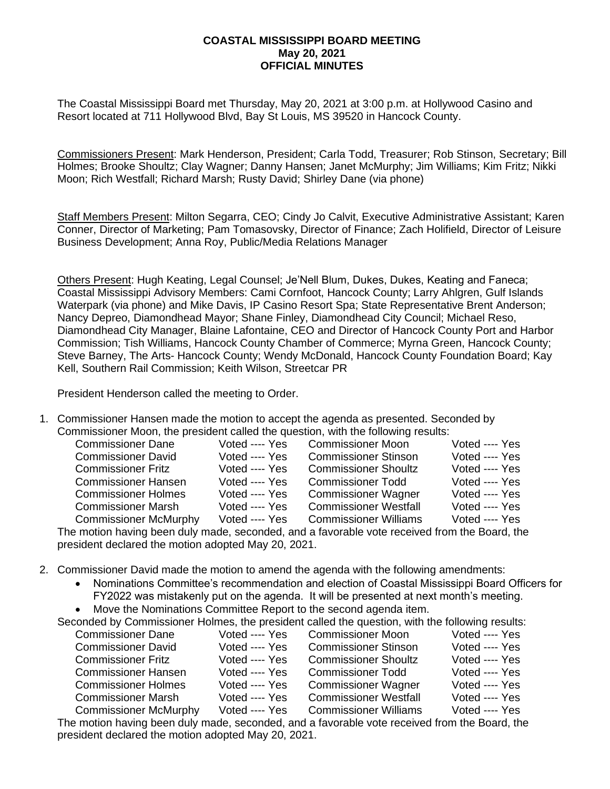## **COASTAL MISSISSIPPI BOARD MEETING May 20, 2021 OFFICIAL MINUTES**

The Coastal Mississippi Board met Thursday, May 20, 2021 at 3:00 p.m. at Hollywood Casino and Resort located at 711 Hollywood Blvd, Bay St Louis, MS 39520 in Hancock County.

Commissioners Present: Mark Henderson, President; Carla Todd, Treasurer; Rob Stinson, Secretary; Bill Holmes; Brooke Shoultz; Clay Wagner; Danny Hansen; Janet McMurphy; Jim Williams; Kim Fritz; Nikki Moon; Rich Westfall; Richard Marsh; Rusty David; Shirley Dane (via phone)

Staff Members Present: Milton Segarra, CEO; Cindy Jo Calvit, Executive Administrative Assistant; Karen Conner, Director of Marketing; Pam Tomasovsky, Director of Finance; Zach Holifield, Director of Leisure Business Development; Anna Roy, Public/Media Relations Manager

Others Present: Hugh Keating, Legal Counsel; Je'Nell Blum, Dukes, Dukes, Keating and Faneca; Coastal Mississippi Advisory Members: Cami Cornfoot, Hancock County; Larry Ahlgren, Gulf Islands Waterpark (via phone) and Mike Davis, IP Casino Resort Spa; State Representative Brent Anderson; Nancy Depreo, Diamondhead Mayor; Shane Finley, Diamondhead City Council; Michael Reso, Diamondhead City Manager, Blaine Lafontaine, CEO and Director of Hancock County Port and Harbor Commission; Tish Williams, Hancock County Chamber of Commerce; Myrna Green, Hancock County; Steve Barney, The Arts- Hancock County; Wendy McDonald, Hancock County Foundation Board; Kay Kell, Southern Rail Commission; Keith Wilson, Streetcar PR

President Henderson called the meeting to Order.

1. Commissioner Hansen made the motion to accept the agenda as presented. Seconded by Commissioner Moon, the president called the question, with the following results:

| <b>Commissioner Dane</b>     | Voted ---- Yes | <b>Commissioner Moon</b>     | Voted ---- Yes |
|------------------------------|----------------|------------------------------|----------------|
| <b>Commissioner David</b>    | Voted ---- Yes | <b>Commissioner Stinson</b>  | Voted ---- Yes |
| <b>Commissioner Fritz</b>    | Voted ---- Yes | <b>Commissioner Shoultz</b>  | Voted ---- Yes |
| <b>Commissioner Hansen</b>   | Voted ---- Yes | <b>Commissioner Todd</b>     | Voted ---- Yes |
| <b>Commissioner Holmes</b>   | Voted ---- Yes | <b>Commissioner Wagner</b>   | Voted ---- Yes |
| <b>Commissioner Marsh</b>    | Voted ---- Yes | <b>Commissioner Westfall</b> | Voted ---- Yes |
| <b>Commissioner McMurphy</b> | Voted ---- Yes | <b>Commissioner Williams</b> | Voted ---- Yes |
|                              |                |                              |                |

The motion having been duly made, seconded, and a favorable vote received from the Board, the president declared the motion adopted May 20, 2021.

- 2. Commissioner David made the motion to amend the agenda with the following amendments:
	- Nominations Committee's recommendation and election of Coastal Mississippi Board Officers for FY2022 was mistakenly put on the agenda. It will be presented at next month's meeting.
	- Move the Nominations Committee Report to the second agenda item.

| Seconded by Commissioner Holmes, the president called the question, with the following results: |                |                              |                |
|-------------------------------------------------------------------------------------------------|----------------|------------------------------|----------------|
| <b>Commissioner Dane</b>                                                                        | Voted ---- Yes | <b>Commissioner Moon</b>     | Voted ---- Yes |
| <b>Commissioner David</b>                                                                       | Voted ---- Yes | <b>Commissioner Stinson</b>  | Voted ---- Yes |
| <b>Commissioner Fritz</b>                                                                       | Voted ---- Yes | <b>Commissioner Shoultz</b>  | Voted ---- Yes |
| <b>Commissioner Hansen</b>                                                                      | Voted ---- Yes | <b>Commissioner Todd</b>     | Voted ---- Yes |
| <b>Commissioner Holmes</b>                                                                      | Voted ---- Yes | <b>Commissioner Wagner</b>   | Voted ---- Yes |
| <b>Commissioner Marsh</b>                                                                       | Voted ---- Yes | <b>Commissioner Westfall</b> | Voted ---- Yes |
| <b>Commissioner McMurphy</b>                                                                    | Voted ---- Yes | <b>Commissioner Williams</b> | Voted ---- Yes |
| The motion having been duly made, seconded, and a favorable vote received from the Board, the   |                |                              |                |

president declared the motion adopted May 20, 2021.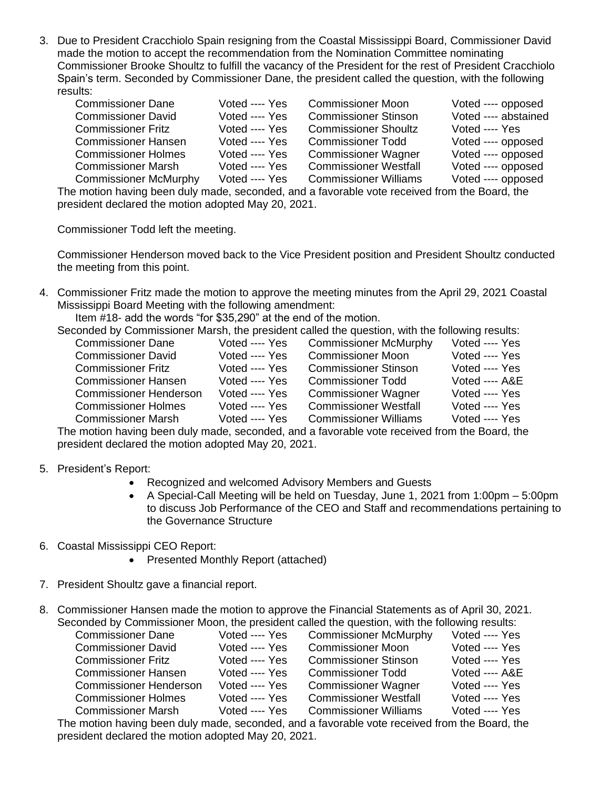3. Due to President Cracchiolo Spain resigning from the Coastal Mississippi Board, Commissioner David made the motion to accept the recommendation from the Nomination Committee nominating Commissioner Brooke Shoultz to fulfill the vacancy of the President for the rest of President Cracchiolo Spain's term. Seconded by Commissioner Dane, the president called the question, with the following results:

| <b>Commissioner Dane</b>     | Voted ---- Yes | <b>Commissioner Moon</b>     | Voted ---- opposed   |
|------------------------------|----------------|------------------------------|----------------------|
| <b>Commissioner David</b>    | Voted ---- Yes | <b>Commissioner Stinson</b>  | Voted ---- abstained |
| <b>Commissioner Fritz</b>    | Voted ---- Yes | <b>Commissioner Shoultz</b>  | Voted ---- Yes       |
| <b>Commissioner Hansen</b>   | Voted ---- Yes | <b>Commissioner Todd</b>     | Voted ---- opposed   |
| <b>Commissioner Holmes</b>   | Voted ---- Yes | <b>Commissioner Wagner</b>   | Voted ---- opposed   |
| <b>Commissioner Marsh</b>    | Voted ---- Yes | <b>Commissioner Westfall</b> | Voted ---- opposed   |
| <b>Commissioner McMurphy</b> | Voted ---- Yes | <b>Commissioner Williams</b> | Voted ---- opposed   |
|                              |                |                              |                      |

The motion having been duly made, seconded, and a favorable vote received from the Board, the president declared the motion adopted May 20, 2021.

Commissioner Todd left the meeting.

Commissioner Henderson moved back to the Vice President position and President Shoultz conducted the meeting from this point.

4. Commissioner Fritz made the motion to approve the meeting minutes from the April 29, 2021 Coastal Mississippi Board Meeting with the following amendment:

Item #18- add the words "for \$35,290" at the end of the motion.

Seconded by Commissioner Marsh, the president called the question, with the following results:

| <b>Commissioner Dane</b>      | Voted ---- Yes | <b>Commissioner McMurphy</b> | Voted ---- Yes |
|-------------------------------|----------------|------------------------------|----------------|
| <b>Commissioner David</b>     | Voted ---- Yes | <b>Commissioner Moon</b>     | Voted ---- Yes |
| <b>Commissioner Fritz</b>     | Voted ---- Yes | <b>Commissioner Stinson</b>  | Voted ---- Yes |
| <b>Commissioner Hansen</b>    | Voted ---- Yes | <b>Commissioner Todd</b>     | Voted ---- A&E |
| <b>Commissioner Henderson</b> | Voted ---- Yes | <b>Commissioner Wagner</b>   | Voted ---- Yes |
| <b>Commissioner Holmes</b>    | Voted ---- Yes | <b>Commissioner Westfall</b> | Voted ---- Yes |
| <b>Commissioner Marsh</b>     | Voted ---- Yes | <b>Commissioner Williams</b> | Voted ---- Yes |
|                               |                |                              |                |

The motion having been duly made, seconded, and a favorable vote received from the Board, the president declared the motion adopted May 20, 2021.

- 5. President's Report:
	- Recognized and welcomed Advisory Members and Guests
	- A Special-Call Meeting will be held on Tuesday, June 1, 2021 from 1:00pm 5:00pm to discuss Job Performance of the CEO and Staff and recommendations pertaining to the Governance Structure
- 6. Coastal Mississippi CEO Report:
	- Presented Monthly Report (attached)
- 7. President Shoultz gave a financial report.
- 8. Commissioner Hansen made the motion to approve the Financial Statements as of April 30, 2021. Seconded by Commissioner Moon, the president called the question, with the following results:

| <b>Commissioner Dane</b>      | Voted ---- Yes | <b>Commissioner McMurphy</b> | Voted ---- Yes            |
|-------------------------------|----------------|------------------------------|---------------------------|
| <b>Commissioner David</b>     | Voted ---- Yes | <b>Commissioner Moon</b>     | Voted ---- Yes            |
| <b>Commissioner Fritz</b>     | Voted ---- Yes | <b>Commissioner Stinson</b>  | Voted ---- Yes            |
| <b>Commissioner Hansen</b>    | Voted ---- Yes | <b>Commissioner Todd</b>     | <b>Voted ---- A&amp;E</b> |
| <b>Commissioner Henderson</b> | Voted ---- Yes | <b>Commissioner Wagner</b>   | Voted ---- Yes            |
| <b>Commissioner Holmes</b>    | Voted ---- Yes | <b>Commissioner Westfall</b> | Voted ---- Yes            |
| <b>Commissioner Marsh</b>     | Voted ---- Yes | <b>Commissioner Williams</b> | Voted ---- Yes            |
|                               |                |                              |                           |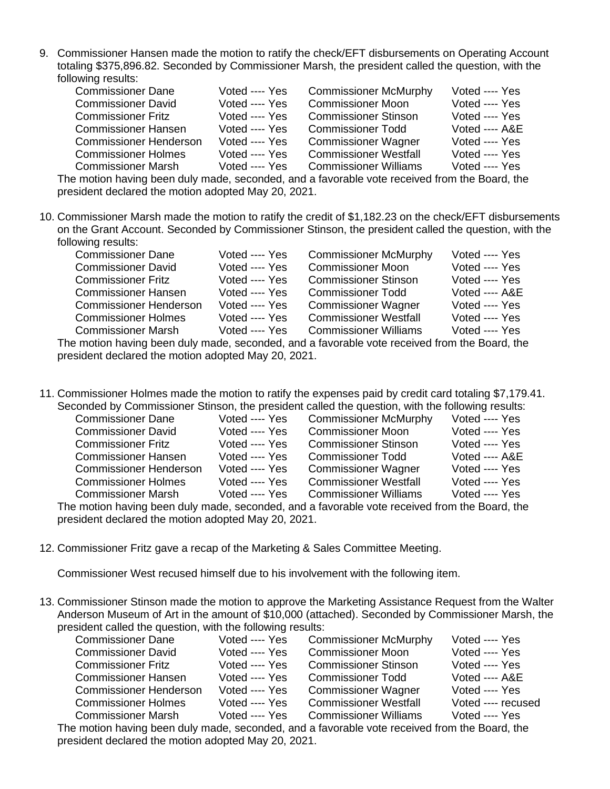9. Commissioner Hansen made the motion to ratify the check/EFT disbursements on Operating Account totaling \$375,896.82. Seconded by Commissioner Marsh, the president called the question, with the following results:

| <b>Commissioner Dane</b>      | Voted ---- Yes | <b>Commissioner McMurphy</b>                                                                | Voted ---- Yes |
|-------------------------------|----------------|---------------------------------------------------------------------------------------------|----------------|
| <b>Commissioner David</b>     | Voted ---- Yes | <b>Commissioner Moon</b>                                                                    | Voted ---- Yes |
| <b>Commissioner Fritz</b>     | Voted ---- Yes | <b>Commissioner Stinson</b>                                                                 | Voted ---- Yes |
| <b>Commissioner Hansen</b>    | Voted ---- Yes | <b>Commissioner Todd</b>                                                                    | Voted ---- A&E |
| <b>Commissioner Henderson</b> | Voted ---- Yes | <b>Commissioner Wagner</b>                                                                  | Voted ---- Yes |
| <b>Commissioner Holmes</b>    | Voted ---- Yes | <b>Commissioner Westfall</b>                                                                | Voted ---- Yes |
| <b>Commissioner Marsh</b>     | Voted ---- Yes | <b>Commissioner Williams</b>                                                                | Voted ---- Yes |
|                               |                | cantina hoising boos duly model opponded ond o fournable vate received from the Desiral the |                |

The motion having been duly made, seconded, and a favorable vote received from the Board, the president declared the motion adopted May 20, 2021.

10. Commissioner Marsh made the motion to ratify the credit of \$1,182.23 on the check/EFT disbursements on the Grant Account. Seconded by Commissioner Stinson, the president called the question, with the following results:

| <b>Commissioner Dane</b>                                                                    | Voted ---- Yes | <b>Commissioner McMurphy</b> | Voted ---- Yes |
|---------------------------------------------------------------------------------------------|----------------|------------------------------|----------------|
| <b>Commissioner David</b>                                                                   | Voted ---- Yes | <b>Commissioner Moon</b>     | Voted ---- Yes |
| <b>Commissioner Fritz</b>                                                                   | Voted ---- Yes | <b>Commissioner Stinson</b>  | Voted ---- Yes |
| <b>Commissioner Hansen</b>                                                                  | Voted ---- Yes | <b>Commissioner Todd</b>     | Voted ---- A&E |
| <b>Commissioner Henderson</b>                                                               | Voted ---- Yes | <b>Commissioner Wagner</b>   | Voted ---- Yes |
| <b>Commissioner Holmes</b>                                                                  | Voted ---- Yes | <b>Commissioner Westfall</b> | Voted ---- Yes |
| <b>Commissioner Marsh</b>                                                                   | Voted ---- Yes | <b>Commissioner Williams</b> | Voted ---- Yes |
| o motion baying been duly made, seconded, and a fayorable yete received from the Reard, the |                |                              |                |

The motion having been duly made, seconded, and a favorable vote received from the Board, the president declared the motion adopted May 20, 2021.

11. Commissioner Holmes made the motion to ratify the expenses paid by credit card totaling \$7,179.41. Seconded by Commissioner Stinson, the president called the question, with the following results:

| <u>and and an and an and an and an indirected and benefit and an and an and an and in an annual indirection of the second</u> |                |                              |                |
|-------------------------------------------------------------------------------------------------------------------------------|----------------|------------------------------|----------------|
| <b>Commissioner Dane</b>                                                                                                      | Voted ---- Yes | <b>Commissioner McMurphy</b> | Voted ---- Yes |
| <b>Commissioner David</b>                                                                                                     | Voted ---- Yes | <b>Commissioner Moon</b>     | Voted ---- Yes |
| <b>Commissioner Fritz</b>                                                                                                     | Voted ---- Yes | <b>Commissioner Stinson</b>  | Voted ---- Yes |
| <b>Commissioner Hansen</b>                                                                                                    | Voted ---- Yes | <b>Commissioner Todd</b>     | Voted ---- A&E |
| <b>Commissioner Henderson</b>                                                                                                 | Voted ---- Yes | <b>Commissioner Wagner</b>   | Voted ---- Yes |
| <b>Commissioner Holmes</b>                                                                                                    | Voted ---- Yes | <b>Commissioner Westfall</b> | Voted ---- Yes |
| <b>Commissioner Marsh</b>                                                                                                     | Voted ---- Yes | <b>Commissioner Williams</b> | Voted ---- Yes |
| The motion having been duly made, seconded, and a favorable vote received from the Board, the                                 |                |                              |                |
| president declared the motion adopted May 20, 2021.                                                                           |                |                              |                |

12. Commissioner Fritz gave a recap of the Marketing & Sales Committee Meeting.

Commissioner West recused himself due to his involvement with the following item.

13. Commissioner Stinson made the motion to approve the Marketing Assistance Request from the Walter Anderson Museum of Art in the amount of \$10,000 (attached). Seconded by Commissioner Marsh, the president called the question, with the following results:

| <b>Commissioner Dane</b>                                                                    | Voted ---- Yes | <b>Commissioner McMurphy</b> | Voted ---- Yes     |  |  |
|---------------------------------------------------------------------------------------------|----------------|------------------------------|--------------------|--|--|
| <b>Commissioner David</b>                                                                   | Voted ---- Yes | <b>Commissioner Moon</b>     | Voted ---- Yes     |  |  |
| <b>Commissioner Fritz</b>                                                                   | Voted ---- Yes | <b>Commissioner Stinson</b>  | Voted ---- Yes     |  |  |
| <b>Commissioner Hansen</b>                                                                  | Voted ---- Yes | <b>Commissioner Todd</b>     | Voted ---- A&E     |  |  |
| <b>Commissioner Henderson</b>                                                               | Voted ---- Yes | <b>Commissioner Wagner</b>   | Voted ---- Yes     |  |  |
| <b>Commissioner Holmes</b>                                                                  | Voted ---- Yes | <b>Commissioner Westfall</b> | Voted ---- recused |  |  |
| <b>Commissioner Marsh</b>                                                                   | Voted ---- Yes | <b>Commissioner Williams</b> | Voted ---- Yes     |  |  |
| e motion having been duly made. seconded, and a favorable vote received from the Board, the |                |                              |                    |  |  |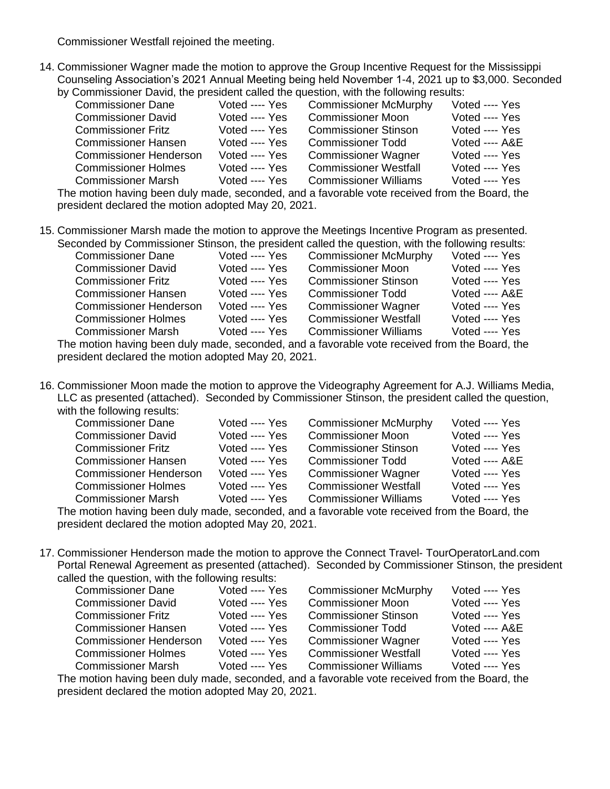Commissioner Westfall rejoined the meeting.

14. Commissioner Wagner made the motion to approve the Group Incentive Request for the Mississippi Counseling Association's 2021 Annual Meeting being held November 1-4, 2021 up to \$3,000. Seconded by Commissioner David, the president called the question, with the following results:

| a, administration partal individually added individually ministrate reporting reduction       |                |                              |                |  |
|-----------------------------------------------------------------------------------------------|----------------|------------------------------|----------------|--|
| <b>Commissioner Dane</b>                                                                      | Voted ---- Yes | <b>Commissioner McMurphy</b> | Voted ---- Yes |  |
| <b>Commissioner David</b>                                                                     | Voted ---- Yes | <b>Commissioner Moon</b>     | Voted ---- Yes |  |
| <b>Commissioner Fritz</b>                                                                     | Voted ---- Yes | <b>Commissioner Stinson</b>  | Voted ---- Yes |  |
| <b>Commissioner Hansen</b>                                                                    | Voted ---- Yes | <b>Commissioner Todd</b>     | Voted ---- A&E |  |
| <b>Commissioner Henderson</b>                                                                 | Voted ---- Yes | <b>Commissioner Wagner</b>   | Voted ---- Yes |  |
| <b>Commissioner Holmes</b>                                                                    | Voted ---- Yes | <b>Commissioner Westfall</b> | Voted ---- Yes |  |
| <b>Commissioner Marsh</b>                                                                     | Voted ---- Yes | <b>Commissioner Williams</b> | Voted ---- Yes |  |
| The motion having been duly made, seconded, and a favorable vote received from the Board, the |                |                              |                |  |
|                                                                                               |                |                              |                |  |

president declared the motion adopted May 20, 2021.

15. Commissioner Marsh made the motion to approve the Meetings Incentive Program as presented. Seconded by Commissioner Stinson, the president called the question, with the following results:

| <b>Commissioner Dane</b>                                                                      | Voted ---- Yes | <b>Commissioner McMurphy</b> | Voted ---- Yes |
|-----------------------------------------------------------------------------------------------|----------------|------------------------------|----------------|
| <b>Commissioner David</b>                                                                     | Voted ---- Yes | <b>Commissioner Moon</b>     | Voted ---- Yes |
| <b>Commissioner Fritz</b>                                                                     | Voted ---- Yes | <b>Commissioner Stinson</b>  | Voted ---- Yes |
| <b>Commissioner Hansen</b>                                                                    | Voted ---- Yes | <b>Commissioner Todd</b>     | Voted ---- A&E |
| <b>Commissioner Henderson</b>                                                                 | Voted ---- Yes | <b>Commissioner Wagner</b>   | Voted ---- Yes |
| <b>Commissioner Holmes</b>                                                                    | Voted ---- Yes | <b>Commissioner Westfall</b> | Voted ---- Yes |
| <b>Commissioner Marsh</b>                                                                     | Voted ---- Yes | <b>Commissioner Williams</b> | Voted ---- Yes |
| The motion beying been duly made, seconded, and a favorable vote received from the Roard, the |                |                              |                |

The motion having been duly made, seconded, and a favorable vote received from the Board, the president declared the motion adopted May 20, 2021.

16. Commissioner Moon made the motion to approve the Videography Agreement for A.J. Williams Media, LLC as presented (attached). Seconded by Commissioner Stinson, the president called the question, with the following results:

| <b>Commissioner Dane</b>      | Voted ---- Yes | <b>Commissioner McMurphy</b>                                                                | Voted ---- Yes |
|-------------------------------|----------------|---------------------------------------------------------------------------------------------|----------------|
| <b>Commissioner David</b>     | Voted ---- Yes | <b>Commissioner Moon</b>                                                                    | Voted ---- Yes |
| <b>Commissioner Fritz</b>     | Voted ---- Yes | <b>Commissioner Stinson</b>                                                                 | Voted ---- Yes |
| <b>Commissioner Hansen</b>    | Voted ---- Yes | <b>Commissioner Todd</b>                                                                    | Voted ---- A&E |
| <b>Commissioner Henderson</b> | Voted ---- Yes | <b>Commissioner Wagner</b>                                                                  | Voted ---- Yes |
| <b>Commissioner Holmes</b>    | Voted ---- Yes | <b>Commissioner Westfall</b>                                                                | Voted ---- Yes |
| <b>Commissioner Marsh</b>     | Voted ---- Yes | <b>Commissioner Williams</b>                                                                | Voted ---- Yes |
|                               |                | o metian boujna been duly mede, essended, and a fouerable yate resolved from the Deard, the |                |

The motion having been duly made, seconded, and a favorable vote received from the Board, the president declared the motion adopted May 20, 2021.

17. Commissioner Henderson made the motion to approve the Connect Travel- TourOperatorLand.com Portal Renewal Agreement as presented (attached). Seconded by Commissioner Stinson, the president called the question, with the following results:

| <b>Commissioner Dane</b>      | Voted ---- Yes | <b>Commissioner McMurphy</b> | Voted ---- Yes  |
|-------------------------------|----------------|------------------------------|-----------------|
| <b>Commissioner David</b>     | Voted ---- Yes | <b>Commissioner Moon</b>     | Voted ---- Yes  |
| <b>Commissioner Fritz</b>     | Voted ---- Yes | <b>Commissioner Stinson</b>  | Voted ---- Yes  |
| <b>Commissioner Hansen</b>    | Voted ---- Yes | <b>Commissioner Todd</b>     | Voted $---$ A&E |
| <b>Commissioner Henderson</b> | Voted ---- Yes | <b>Commissioner Wagner</b>   | Voted ---- Yes  |
| <b>Commissioner Holmes</b>    | Voted ---- Yes | <b>Commissioner Westfall</b> | Voted ---- Yes  |
| <b>Commissioner Marsh</b>     | Voted ---- Yes | <b>Commissioner Williams</b> | Voted ---- Yes  |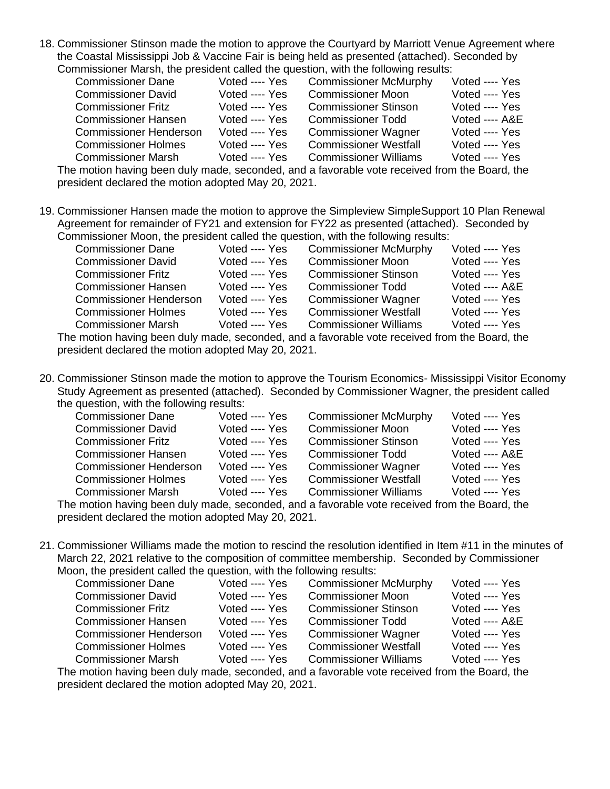18. Commissioner Stinson made the motion to approve the Courtyard by Marriott Venue Agreement where the Coastal Mississippi Job & Vaccine Fair is being held as presented (attached). Seconded by Commissioner Marsh, the president called the question, with the following results:

| <b>Commissioner Dane</b>      | Voted ---- Yes | <b>Commissioner McMurphy</b> | Voted ---- Yes |
|-------------------------------|----------------|------------------------------|----------------|
| <b>Commissioner David</b>     | Voted ---- Yes | <b>Commissioner Moon</b>     | Voted ---- Yes |
| <b>Commissioner Fritz</b>     | Voted ---- Yes | <b>Commissioner Stinson</b>  | Voted ---- Yes |
| <b>Commissioner Hansen</b>    | Voted ---- Yes | <b>Commissioner Todd</b>     | Voted ---- A&E |
| <b>Commissioner Henderson</b> | Voted ---- Yes | <b>Commissioner Wagner</b>   | Voted ---- Yes |
| <b>Commissioner Holmes</b>    | Voted ---- Yes | <b>Commissioner Westfall</b> | Voted ---- Yes |
| <b>Commissioner Marsh</b>     | Voted ---- Yes | <b>Commissioner Williams</b> | Voted ---- Yes |

The motion having been duly made, seconded, and a favorable vote received from the Board, the president declared the motion adopted May 20, 2021.

19. Commissioner Hansen made the motion to approve the Simpleview SimpleSupport 10 Plan Renewal Agreement for remainder of FY21 and extension for FY22 as presented (attached). Seconded by Commissioner Moon, the president called the question, with the following results:

| minionici moon, the predident called the queditori, with the relieving redute.              |                |                              |                |  |
|---------------------------------------------------------------------------------------------|----------------|------------------------------|----------------|--|
| <b>Commissioner Dane</b>                                                                    | Voted ---- Yes | <b>Commissioner McMurphy</b> | Voted ---- Yes |  |
| <b>Commissioner David</b>                                                                   | Voted ---- Yes | <b>Commissioner Moon</b>     | Voted ---- Yes |  |
| <b>Commissioner Fritz</b>                                                                   | Voted ---- Yes | <b>Commissioner Stinson</b>  | Voted ---- Yes |  |
| <b>Commissioner Hansen</b>                                                                  | Voted ---- Yes | <b>Commissioner Todd</b>     | Voted ---- A&E |  |
| <b>Commissioner Henderson</b>                                                               | Voted ---- Yes | <b>Commissioner Wagner</b>   | Voted ---- Yes |  |
| <b>Commissioner Holmes</b>                                                                  | Voted ---- Yes | <b>Commissioner Westfall</b> | Voted ---- Yes |  |
| <b>Commissioner Marsh</b>                                                                   | Voted ---- Yes | <b>Commissioner Williams</b> | Voted ---- Yes |  |
| a maatiga kay'iya kana dulu maada lagaandad laga fouqyahla yata xaaqiyad fxam tha Daqyd tha |                |                              |                |  |

The motion having been duly made, seconded, and a favorable vote received from the Board, the president declared the motion adopted May 20, 2021.

20. Commissioner Stinson made the motion to approve the Tourism Economics- Mississippi Visitor Economy Study Agreement as presented (attached). Seconded by Commissioner Wagner, the president called the question, with the following results:

| <b>Commissioner Dane</b>      | Voted ---- Yes | <b>Commissioner McMurphy</b> | Voted ---- Yes            |
|-------------------------------|----------------|------------------------------|---------------------------|
| <b>Commissioner David</b>     | Voted ---- Yes | <b>Commissioner Moon</b>     | Voted ---- Yes            |
| <b>Commissioner Fritz</b>     | Voted ---- Yes | <b>Commissioner Stinson</b>  | Voted ---- Yes            |
| <b>Commissioner Hansen</b>    | Voted ---- Yes | <b>Commissioner Todd</b>     | <b>Voted ---- A&amp;E</b> |
| <b>Commissioner Henderson</b> | Voted ---- Yes | <b>Commissioner Wagner</b>   | Voted ---- Yes            |
| <b>Commissioner Holmes</b>    | Voted ---- Yes | <b>Commissioner Westfall</b> | Voted ---- Yes            |
| <b>Commissioner Marsh</b>     | Voted ---- Yes | <b>Commissioner Williams</b> | Voted ---- Yes            |
|                               |                |                              |                           |

The motion having been duly made, seconded, and a favorable vote received from the Board, the president declared the motion adopted May 20, 2021.

21. Commissioner Williams made the motion to rescind the resolution identified in Item #11 in the minutes of March 22, 2021 relative to the composition of committee membership. Seconded by Commissioner Moon, the president called the question, with the following results:

| <b>Commissioner Dane</b>      | Voted ---- Yes | <b>Commissioner McMurphy</b> | Voted ---- Yes |
|-------------------------------|----------------|------------------------------|----------------|
| <b>Commissioner David</b>     | Voted ---- Yes | <b>Commissioner Moon</b>     | Voted ---- Yes |
| <b>Commissioner Fritz</b>     | Voted ---- Yes | <b>Commissioner Stinson</b>  | Voted ---- Yes |
| <b>Commissioner Hansen</b>    | Voted ---- Yes | <b>Commissioner Todd</b>     | Voted ---- A&E |
| <b>Commissioner Henderson</b> | Voted ---- Yes | <b>Commissioner Wagner</b>   | Voted ---- Yes |
| <b>Commissioner Holmes</b>    | Voted ---- Yes | <b>Commissioner Westfall</b> | Voted ---- Yes |
| <b>Commissioner Marsh</b>     | Voted ---- Yes | <b>Commissioner Williams</b> | Voted ---- Yes |
|                               |                |                              |                |